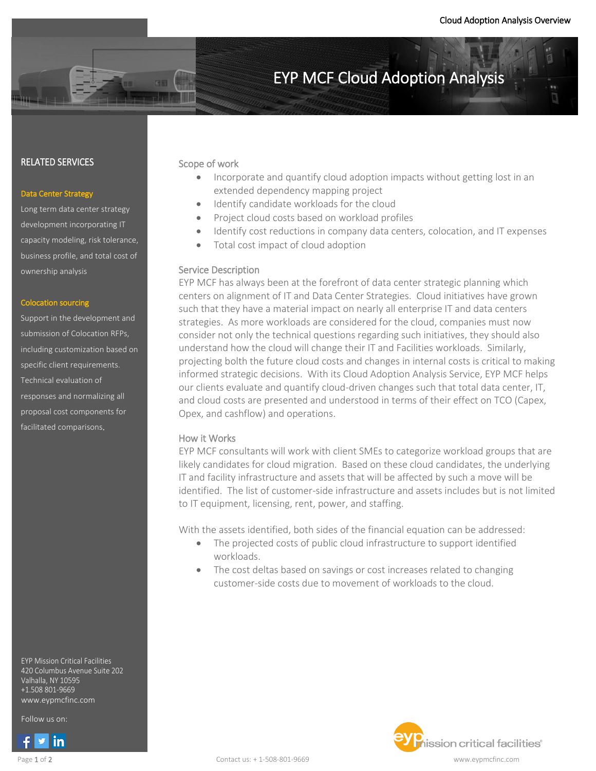$\overline{\phantom{a}}$ 

# EYP MCF Cloud Adoption Analysis

#### RELATED SERVICES

#### Data Center Strategy

Long term data center strategy development incorporating IT capacity modeling, risk tolerance, business profile, and total cost of ownership analysis

### Colocation sourcing

Support in the development and submission of Colocation RFPs, including customization based on specific client requirements. Technical evaluation of responses and normalizing all proposal cost components for facilitated comparisons.

EYP Mission Critical Facilities 420 Columbus Avenue Suite 202 Valhalla, NY 10595 +1.508 801-9669 www.eypmcfinc.com

Follow us on: Follow us on:



#### Scope of work

- Incorporate and quantify cloud adoption impacts without getting lost in an extended dependency mapping project
- Identify candidate workloads for the cloud
- Project cloud costs based on workload profiles
- Identify cost reductions in company data centers, colocation, and IT expenses
- Total cost impact of cloud adoption

#### Service Description

EYP MCF has always been at the forefront of data center strategic planning which centers on alignment of IT and Data Center Strategies. Cloud initiatives have grown such that they have a material impact on nearly all enterprise IT and data centers strategies. As more workloads are considered for the cloud, companies must now consider not only the technical questions regarding such initiatives, they should also understand how the cloud will change their IT and Facilities workloads. Similarly, projecting bolth the future cloud costs and changes in internal costs is critical to making informed strategic decisions. With its Cloud Adoption Analysis Service, EYP MCF helps our clients evaluate and quantify cloud-driven changes such that total data center, IT, and cloud costs are presented and understood in terms of their effect on TCO (Capex, Opex, and cashflow) and operations.

#### How it Works

EYP MCF consultants will work with client SMEs to categorize workload groups that are likely candidates for cloud migration. Based on these cloud candidates, the underlying IT and facility infrastructure and assets that will be affected by such a move will be identified. The list of customer-side infrastructure and assets includes but is not limited to IT equipment, licensing, rent, power, and staffing.

With the assets identified, both sides of the financial equation can be addressed:

- The projected costs of public cloud infrastructure to support identified workloads.
- The cost deltas based on savings or cost increases related to changing customer-side costs due to movement of workloads to the cloud.